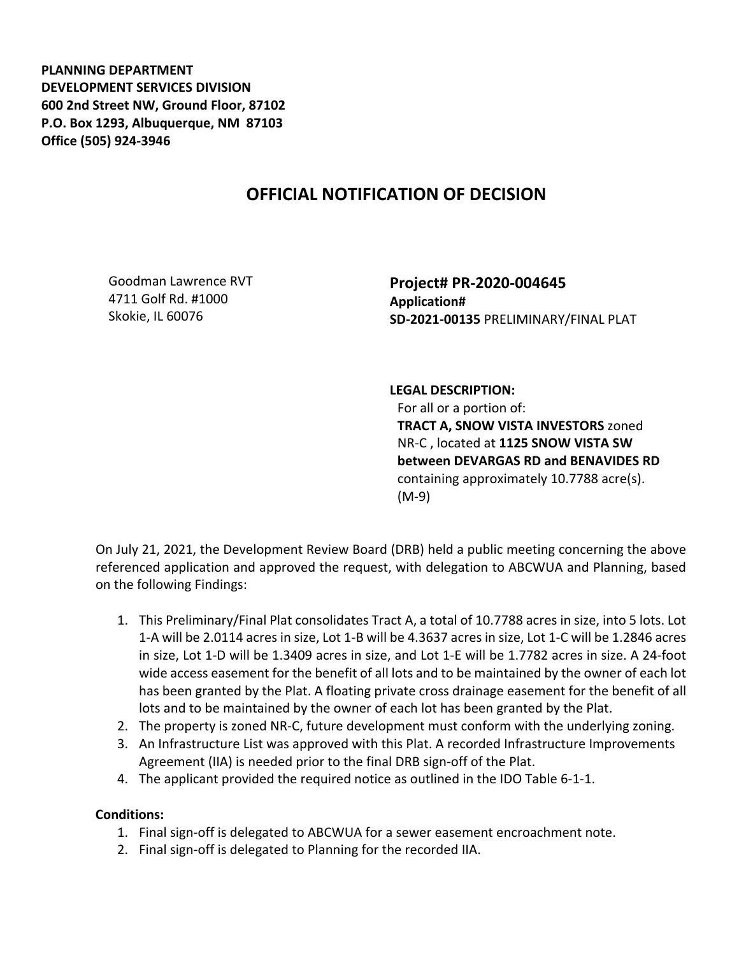**PLANNING DEPARTMENT DEVELOPMENT SERVICES DIVISION 600 2nd Street NW, Ground Floor, 87102 P.O. Box 1293, Albuquerque, NM 87103 Office (505) 924-3946** 

## **OFFICIAL NOTIFICATION OF DECISION**

Goodman Lawrence RVT 4711 Golf Rd. #1000 Skokie, IL 60076

**Project# PR-2020-004645 Application# SD-2021-00135** PRELIMINARY/FINAL PLAT

## **LEGAL DESCRIPTION:**

For all or a portion of: **TRACT A, SNOW VISTA INVESTORS** zoned NR-C , located at **1125 SNOW VISTA SW between DEVARGAS RD and BENAVIDES RD**  containing approximately 10.7788 acre(s). (M-9)

On July 21, 2021, the Development Review Board (DRB) held a public meeting concerning the above referenced application and approved the request, with delegation to ABCWUA and Planning, based on the following Findings:

- 1. This Preliminary/Final Plat consolidates Tract A, a total of 10.7788 acres in size, into 5 lots. Lot 1-A will be 2.0114 acres in size, Lot 1-B will be 4.3637 acres in size, Lot 1-C will be 1.2846 acres in size, Lot 1-D will be 1.3409 acres in size, and Lot 1-E will be 1.7782 acres in size. A 24-foot wide access easement for the benefit of all lots and to be maintained by the owner of each lot has been granted by the Plat. A floating private cross drainage easement for the benefit of all lots and to be maintained by the owner of each lot has been granted by the Plat.
- 2. The property is zoned NR-C, future development must conform with the underlying zoning.
- 3. An Infrastructure List was approved with this Plat. A recorded Infrastructure Improvements Agreement (IIA) is needed prior to the final DRB sign-off of the Plat.
- 4. The applicant provided the required notice as outlined in the IDO Table 6-1-1.

## **Conditions:**

- 1. Final sign-off is delegated to ABCWUA for a sewer easement encroachment note.
- 2. Final sign-off is delegated to Planning for the recorded IIA.